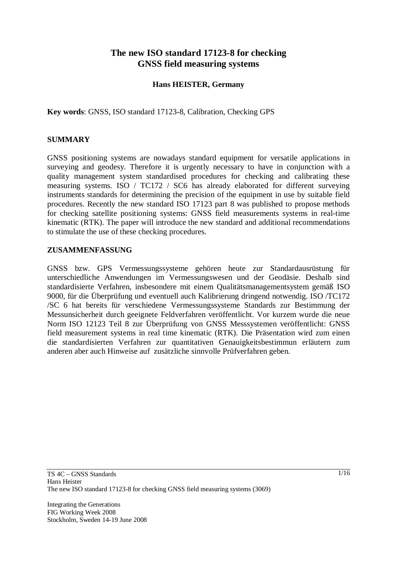# **The new ISO standard 17123-8 for checking GNSS field measuring systems**

## **Hans HEISTER, Germany**

**Key words**: GNSS, ISO standard 17123-8, Calibration, Checking GPS

#### **SUMMARY**

GNSS positioning systems are nowadays standard equipment for versatile applications in surveying and geodesy. Therefore it is urgently necessary to have in conjunction with a quality management system standardised procedures for checking and calibrating these measuring systems. ISO / TC172 / SC6 has already elaborated for different surveying instruments standards for determining the precision of the equipment in use by suitable field procedures. Recently the new standard ISO 17123 part 8 was published to propose methods for checking satellite positioning systems: GNSS field measurements systems in real-time kinematic (RTK). The paper will introduce the new standard and additional recommendations to stimulate the use of these checking procedures.

#### **ZUSAMMENFASSUNG**

GNSS bzw. GPS Vermessungssysteme gehören heute zur Standardausrüstung für unterschiedliche Anwendungen im Vermessungswesen und der Geodäsie. Deshalb sind standardisierte Verfahren, insbesondere mit einem Qualitätsmanagementsystem gemäß ISO 9000, für die Überprüfung und eventuell auch Kalibrierung dringend notwendig. ISO /TC172 /SC 6 hat bereits für verschiedene Vermessungssysteme Standards zur Bestimmung der Messunsicherheit durch geeignete Feldverfahren veröffentlicht. Vor kurzem wurde die neue Norm ISO 12123 Teil 8 zur Überprüfung von GNSS Messsystemen veröffentlicht: GNSS field measurement systems in real time kinematic (RTK). Die Präsentation wird zum einen die standardisierten Verfahren zur quantitativen Genauigkeitsbestimmun erläutern zum anderen aber auch Hinweise auf zusätzliche sinnvolle Prüfverfahren geben.

Integrating the Generations FIG Working Week 2008 Stockholm, Sweden 14-19 June 2008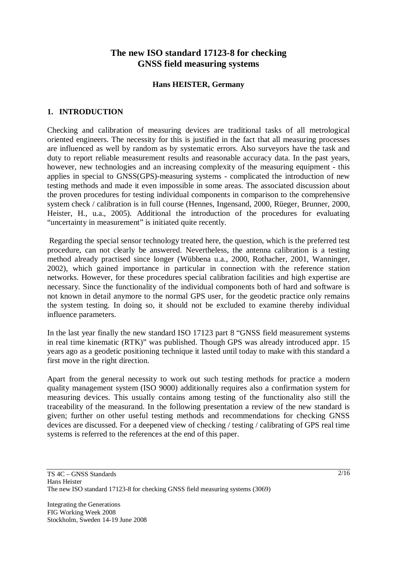## **The new ISO standard 17123-8 for checking GNSS field measuring systems**

#### **Hans HEISTER, Germany**

## **1. INTRODUCTION**

Checking and calibration of measuring devices are traditional tasks of all metrological oriented engineers. The necessity for this is justified in the fact that all measuring processes are influenced as well by random as by systematic errors. Also surveyors have the task and duty to report reliable measurement results and reasonable accuracy data. In the past years, however, new technologies and an increasing complexity of the measuring equipment - this applies in special to GNSS(GPS)-measuring systems - complicated the introduction of new testing methods and made it even impossible in some areas. The associated discussion about the proven procedures for testing individual components in comparison to the comprehensive system check / calibration is in full course (Hennes, Ingensand, 2000, Rüeger, Brunner, 2000, Heister, H., u.a., 2005). Additional the introduction of the procedures for evaluating "uncertainty in measurement" is initiated quite recently.

Regarding the special sensor technology treated here, the question, which is the preferred test procedure, can not clearly be answered. Nevertheless, the antenna calibration is a testing method already practised since longer (Wübbena u.a., 2000, Rothacher, 2001, Wanninger, 2002), which gained importance in particular in connection with the reference station networks. However, for these procedures special calibration facilities and high expertise are necessary. Since the functionality of the individual components both of hard and software is not known in detail anymore to the normal GPS user, for the geodetic practice only remains the system testing. In doing so, it should not be excluded to examine thereby individual influence parameters.

In the last year finally the new standard ISO 17123 part 8 "GNSS field measurement systems in real time kinematic (RTK)" was published. Though GPS was already introduced appr. 15 years ago as a geodetic positioning technique it lasted until today to make with this standard a first move in the right direction.

Apart from the general necessity to work out such testing methods for practice a modern quality management system (ISO 9000) additionally requires also a confirmation system for measuring devices. This usually contains among testing of the functionality also still the traceability of the measurand. In the following presentation a review of the new standard is given; further on other useful testing methods and recommendations for checking GNSS devices are discussed. For a deepened view of checking / testing / calibrating of GPS real time systems is referred to the references at the end of this paper.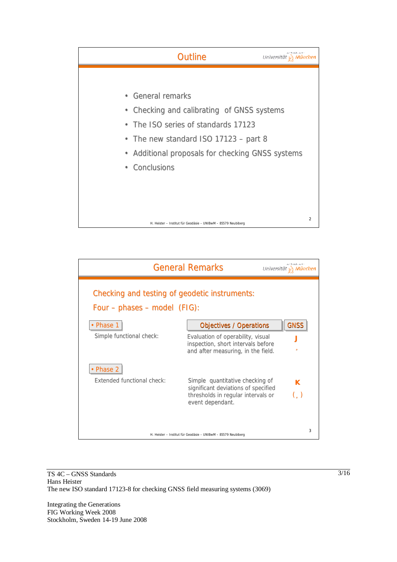



Integrating the Generations FIG Working Week 2008 Stockholm, Sweden 14-19 June 2008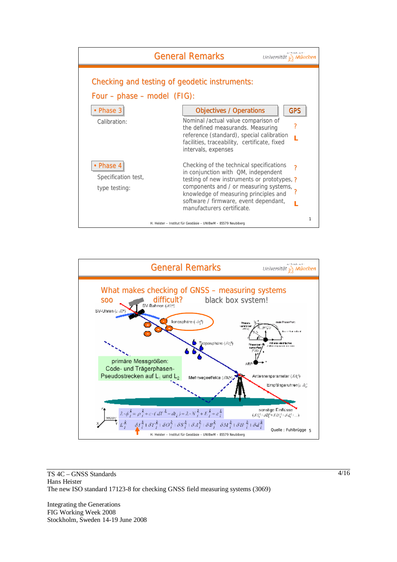



Integrating the Generations FIG Working Week 2008 Stockholm, Sweden 14-19 June 2008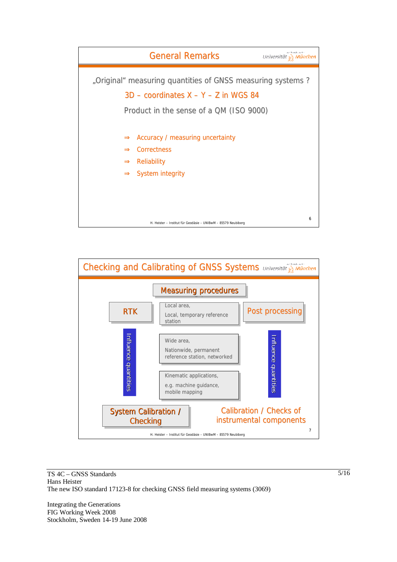



Integrating the Generations FIG Working Week 2008 Stockholm, Sweden 14-19 June 2008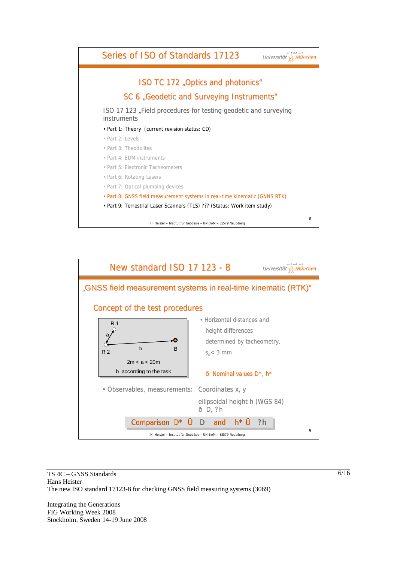



Integrating the Generations FIG Working Week 2008 Stockholm, Sweden 14-19 June 2008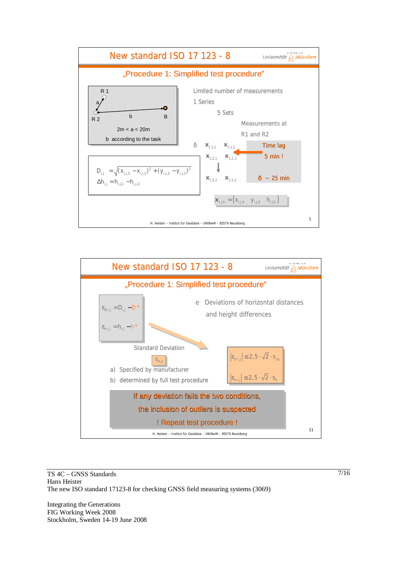



Integrating the Generations FIG Working Week 2008 Stockholm, Sweden 14-19 June 2008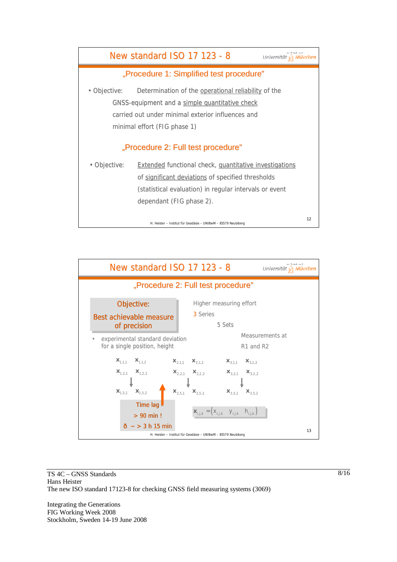



Integrating the Generations FIG Working Week 2008 Stockholm, Sweden 14-19 June 2008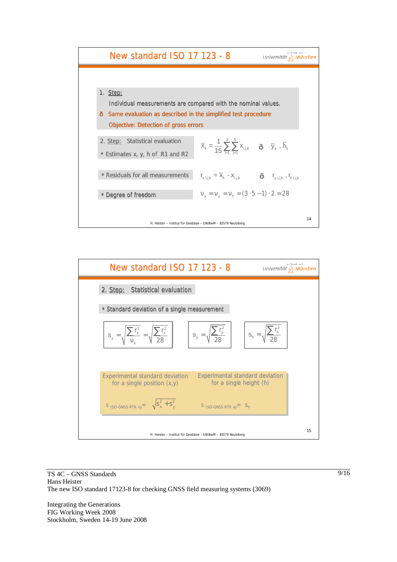



Integrating the Generations FIG Working Week 2008 Stockholm, Sweden 14-19 June 2008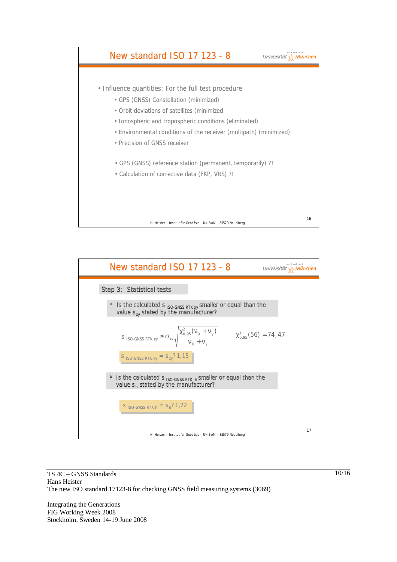



Integrating the Generations FIG Working Week 2008 Stockholm, Sweden 14-19 June 2008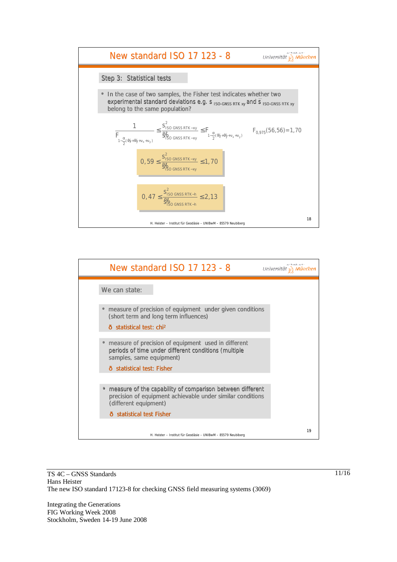



Integrating the Generations FIG Working Week 2008 Stockholm, Sweden 14-19 June 2008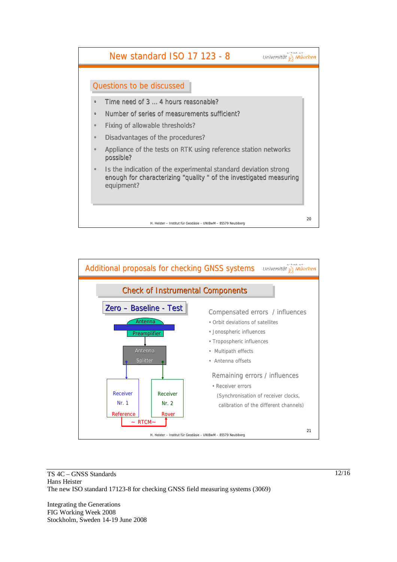



Integrating the Generations FIG Working Week 2008 Stockholm, Sweden 14-19 June 2008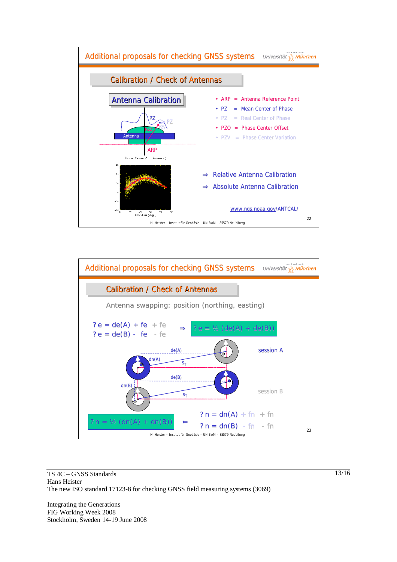



Integrating the Generations FIG Working Week 2008 Stockholm, Sweden 14-19 June 2008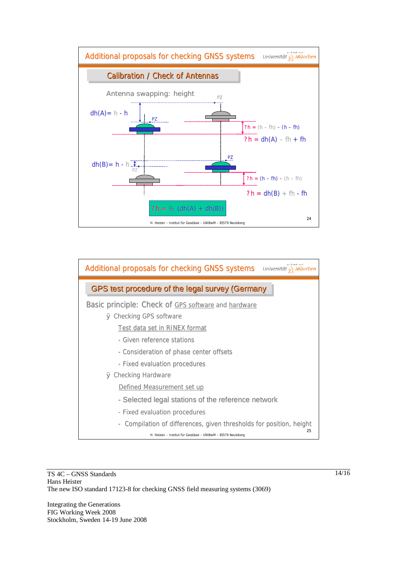



Integrating the Generations FIG Working Week 2008 Stockholm, Sweden 14-19 June 2008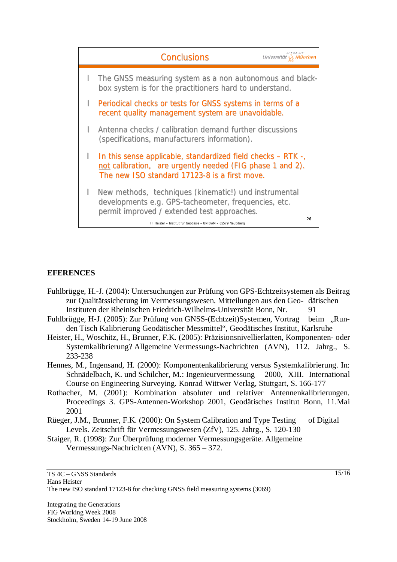

## **EFERENCES**

- Fuhlbrügge, H.-J. (2004): Untersuchungen zur Prüfung von GPS-Echtzeitsystemen als Beitrag zur Qualitätssicherung im Vermessungswesen. Mitteilungen aus den Geo- dätischen Instituten der Rheinischen Friedrich-Wilhelms-Universität Bonn, Nr. 91
- Fuhlbrügge, H-J. (2005): Zur Prüfung von GNSS-(Echtzeit)Systemen, Vortrag beim "Runden Tisch Kalibrierung Geodätischer Messmittel", Geodätisches Institut, Karlsruhe
- Heister, H., Woschitz, H., Brunner, F.K. (2005): Präzisionsnivellierlatten, Komponenten- oder Systemkalibrierung? Allgemeine Vermessungs-Nachrichten (AVN), 112. Jahrg., S. 233-238
- Hennes, M., Ingensand, H. (2000): Komponentenkalibrierung versus Systemkalibrierung. In: Schnädelbach, K. und Schilcher, M.: Ingenieurvermessung 2000, XIII. International Course on Engineering Surveying. Konrad Wittwer Verlag, Stuttgart, S. 166-177
- Rothacher, M. (2001): Kombination absoluter und relativer Antennenkalibrierungen. Proceedings 3. GPS-Antennen-Workshop 2001, Geodätisches Institut Bonn, 11.Mai 2001
- Rüeger, J.M., Brunner, F.K. (2000): On System Calibration and Type Testing of Digital Levels. Zeitschrift für Vermessungswesen (ZfV), 125. Jahrg., S. 120-130
- Staiger, R. (1998): Zur Überprüfung moderner Vermessungsgeräte. Allgemeine Vermessungs-Nachrichten (AVN), S. 365 – 372.